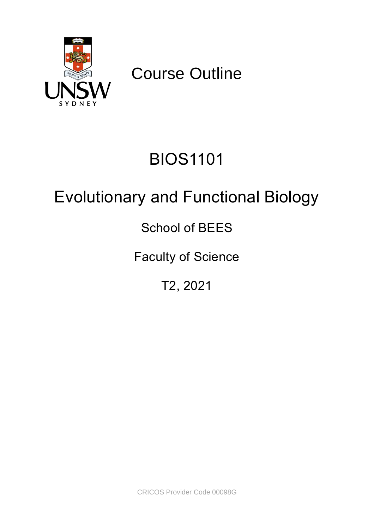

Course Outline

# BIOS1101

# Evolutionary and Functional Biology

## School of BEES

## Faculty of Science

## T2, 2021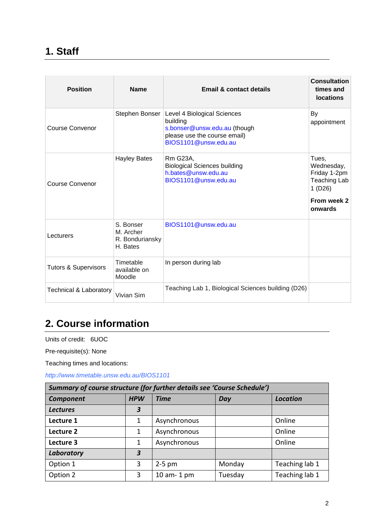### **1. Staff**

| <b>Position</b>                   | <b>Name</b>                                           | <b>Email &amp; contact details</b>                                                                                              | <b>Consultation</b><br>times and<br><b>locations</b>                                           |
|-----------------------------------|-------------------------------------------------------|---------------------------------------------------------------------------------------------------------------------------------|------------------------------------------------------------------------------------------------|
| Course Convenor                   | Stephen Bonser                                        | Level 4 Biological Sciences<br>building<br>s.bonser@unsw.edu.au (though<br>please use the course email)<br>BIOS1101@unsw.edu.au | By<br>appointment                                                                              |
| Course Convenor                   | <b>Hayley Bates</b>                                   | Rm G23A,<br><b>Biological Sciences building</b><br>h.bates@unsw.edu.au<br>BIOS1101@unsw.edu.au                                  | Tues,<br>Wednesday,<br>Friday 1-2pm<br><b>Teaching Lab</b><br>1(D26)<br>From week 2<br>onwards |
| Lecturers                         | S. Bonser<br>M. Archer<br>R. Bonduriansky<br>H. Bates | BIOS1101@unsw.edu.au                                                                                                            |                                                                                                |
| <b>Tutors &amp; Supervisors</b>   | Timetable<br>available on<br>Moodle                   | In person during lab                                                                                                            |                                                                                                |
| <b>Technical &amp; Laboratory</b> | Vivian Sim                                            | Teaching Lab 1, Biological Sciences building (D26)                                                                              |                                                                                                |

### **2. Course information**

Units of credit: 6UOC

Pre-requisite(s): None

Teaching times and locations:

*http://www.timetable.unsw.edu.au/BIOS1101*

| Summary of course structure (for further details see 'Course Schedule') |                                                     |              |         |                |  |  |
|-------------------------------------------------------------------------|-----------------------------------------------------|--------------|---------|----------------|--|--|
| <b>Component</b>                                                        | <b>HPW</b><br><b>Time</b><br><b>Location</b><br>Day |              |         |                |  |  |
| <b>Lectures</b>                                                         | $\boldsymbol{3}$                                    |              |         |                |  |  |
| Lecture 1                                                               | 1                                                   | Asynchronous |         | Online         |  |  |
| Lecture 2                                                               | 1                                                   | Asynchronous |         | Online         |  |  |
| Lecture 3                                                               | 1                                                   | Asynchronous |         | Online         |  |  |
| Laboratory                                                              | 3                                                   |              |         |                |  |  |
| Option 1                                                                | 3                                                   | $2-5$ pm     | Monday  | Teaching lab 1 |  |  |
| Option 2                                                                | 3                                                   | 10 am-1 pm   | Tuesday | Teaching lab 1 |  |  |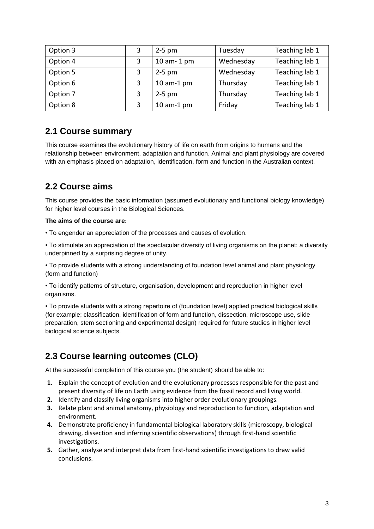| Option 3 | 3 | $2-5$ pm   | Tuesday   | Teaching lab 1 |
|----------|---|------------|-----------|----------------|
| Option 4 | 3 | 10 am-1 pm | Wednesday | Teaching lab 1 |
| Option 5 | 3 | $2-5$ pm   | Wednesday | Teaching lab 1 |
| Option 6 | 3 | 10 am-1 pm | Thursday  | Teaching lab 1 |
| Option 7 | 3 | $2-5$ pm   | Thursday  | Teaching lab 1 |
| Option 8 | 3 | 10 am-1 pm | Friday    | Teaching lab 1 |

### **2.1 Course summary**

This course examines the evolutionary history of life on earth from origins to humans and the relationship between environment, adaptation and function. Animal and plant physiology are covered with an emphasis placed on adaptation, identification, form and function in the Australian context.

### **2.2 Course aims**

This course provides the basic information (assumed evolutionary and functional biology knowledge) for higher level courses in the Biological Sciences.

#### **The aims of the course are:**

• To engender an appreciation of the processes and causes of evolution.

• To stimulate an appreciation of the spectacular diversity of living organisms on the planet; a diversity underpinned by a surprising degree of unity.

• To provide students with a strong understanding of foundation level animal and plant physiology (form and function)

• To identify patterns of structure, organisation, development and reproduction in higher level organisms.

• To provide students with a strong repertoire of (foundation level) applied practical biological skills (for example; classification, identification of form and function, dissection, microscope use, slide preparation, stem sectioning and experimental design) required for future studies in higher level biological science subjects.

### **2.3 Course learning outcomes (CLO)**

At the successful completion of this course you (the student) should be able to:

- **1.** Explain the concept of evolution and the evolutionary processes responsible for the past and present diversity of life on Earth using evidence from the fossil record and living world.
- **2.** Identify and classify living organisms into higher order evolutionary groupings.
- **3.** Relate plant and animal anatomy, physiology and reproduction to function, adaptation and environment.
- **4.** Demonstrate proficiency in fundamental biological laboratory skills (microscopy, biological drawing, dissection and inferring scientific observations) through first-hand scientific investigations.
- **5.** Gather, analyse and interpret data from first-hand scientific investigations to draw valid conclusions.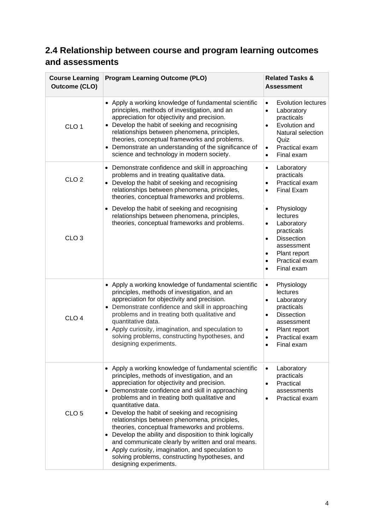### **2.4 Relationship between course and program learning outcomes and assessments**

| <b>Course Learning</b><br><b>Outcome (CLO)</b> | <b>Program Learning Outcome (PLO)</b>                                                                                                                                                                                                                                                                                                                                                                                                                                                                                                                                                                                                                                                   | <b>Related Tasks &amp;</b><br><b>Assessment</b>                                                                                                                                                                     |  |
|------------------------------------------------|-----------------------------------------------------------------------------------------------------------------------------------------------------------------------------------------------------------------------------------------------------------------------------------------------------------------------------------------------------------------------------------------------------------------------------------------------------------------------------------------------------------------------------------------------------------------------------------------------------------------------------------------------------------------------------------------|---------------------------------------------------------------------------------------------------------------------------------------------------------------------------------------------------------------------|--|
| CLO <sub>1</sub>                               | • Apply a working knowledge of fundamental scientific<br>principles, methods of investigation, and an<br>appreciation for objectivity and precision.<br>Develop the habit of seeking and recognising<br>relationships between phenomena, principles,<br>theories, conceptual frameworks and problems.<br>• Demonstrate an understanding of the significance of<br>science and technology in modern society.                                                                                                                                                                                                                                                                             | <b>Evolution lectures</b><br>$\bullet$<br>Laboratory<br>$\bullet$<br>practicals<br>Evolution and<br>$\bullet$<br>Natural selection<br>Quiz<br>Practical exam<br>$\bullet$<br>Final exam<br>$\bullet$                |  |
| CLO <sub>2</sub>                               | • Demonstrate confidence and skill in approaching<br>problems and in treating qualitative data.<br>• Develop the habit of seeking and recognising<br>relationships between phenomena, principles,<br>theories, conceptual frameworks and problems.                                                                                                                                                                                                                                                                                                                                                                                                                                      | Laboratory<br>$\bullet$<br>practicals<br>Practical exam<br>$\bullet$<br><b>Final Exam</b><br>$\bullet$                                                                                                              |  |
| CLO <sub>3</sub>                               | • Develop the habit of seeking and recognising<br>relationships between phenomena, principles,<br>theories, conceptual frameworks and problems.                                                                                                                                                                                                                                                                                                                                                                                                                                                                                                                                         | Physiology<br>$\bullet$<br>lectures<br>Laboratory<br>$\bullet$<br>practicals<br><b>Dissection</b><br>$\bullet$<br>assessment<br>Plant report<br>٠<br>Practical exam<br>$\bullet$<br>Final exam<br>$\bullet$         |  |
| CLO <sub>4</sub>                               | • Apply a working knowledge of fundamental scientific<br>principles, methods of investigation, and an<br>appreciation for objectivity and precision.<br>• Demonstrate confidence and skill in approaching<br>problems and in treating both qualitative and<br>quantitative data.<br>• Apply curiosity, imagination, and speculation to<br>solving problems, constructing hypotheses, and<br>designing experiments.                                                                                                                                                                                                                                                                      | Physiology<br>$\bullet$<br>lectures<br>Laboratory<br>$\bullet$<br>practicals<br><b>Dissection</b><br>$\bullet$<br>assessment<br>Plant report<br>$\bullet$<br>Practical exam<br>$\bullet$<br>Final exam<br>$\bullet$ |  |
| CLO <sub>5</sub>                               | • Apply a working knowledge of fundamental scientific<br>principles, methods of investigation, and an<br>appreciation for objectivity and precision.<br>• Demonstrate confidence and skill in approaching<br>problems and in treating both qualitative and<br>quantitative data.<br>• Develop the habit of seeking and recognising<br>relationships between phenomena, principles,<br>theories, conceptual frameworks and problems.<br>• Develop the ability and disposition to think logically<br>and communicate clearly by written and oral means.<br>• Apply curiosity, imagination, and speculation to<br>solving problems, constructing hypotheses, and<br>designing experiments. | Laboratory<br>$\bullet$<br>practicals<br>Practical<br>$\bullet$<br>assessments<br>Practical exam<br>$\bullet$                                                                                                       |  |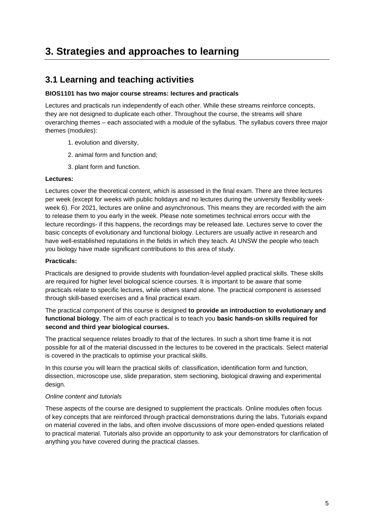### **3. Strategies and approaches to learning**

### **3.1 Learning and teaching activities**

#### **BIOS1101 has two major course streams: lectures and practicals**

Lectures and practicals run independently of each other. While these streams reinforce concepts, they are not designed to duplicate each other. Throughout the course, the streams will share overarching themes – each associated with a module of the syllabus. The syllabus covers three major themes (modules):

- 1. evolution and diversity,
- 2. animal form and function and;
- 3. plant form and function.

#### **Lectures:**

Lectures cover the theoretical content, which is assessed in the final exam. There are three lectures per week (except for weeks with public holidays and no lectures during the university flexibility weekweek 6). For 2021, lectures are online and asynchronous. This means they are recorded with the aim to release them to you early in the week. Please note sometimes technical errors occur with the lecture recordings- if this happens, the recordings may be released late. Lectures serve to cover the basic concepts of evolutionary and functional biology. Lecturers are usually active in research and have well-established reputations in the fields in which they teach. At UNSW the people who teach you biology have made significant contributions to this area of study.

#### **Practicals:**

Practicals are designed to provide students with foundation-level applied practical skills. These skills are required for higher level biological science courses. It is important to be aware that some practicals relate to specific lectures, while others stand alone. The practical component is assessed through skill-based exercises and a final practical exam.

The practical component of this course is designed **to provide an introduction to evolutionary and functional biology**. The aim of each practical is to teach you **basic hands-on skills required for second and third year biological courses.**

The practical sequence relates broadly to that of the lectures. In such a short time frame it is not possible for all of the material discussed in the lectures to be covered in the practicals. Select material is covered in the practicals to optimise your practical skills.

In this course you will learn the practical skills of: classification, identification form and function, dissection, microscope use, slide preparation, stem sectioning, biological drawing and experimental design.

#### *Online content and tutorials*

These aspects of the course are designed to supplement the practicals. Online modules often focus of key concepts that are reinforced through practical demonstrations during the labs. Tutorials expand on material covered in the labs, and often involve discussions of more open-ended questions related to practical material. Tutorials also provide an opportunity to ask your demonstrators for clarification of anything you have covered during the practical classes.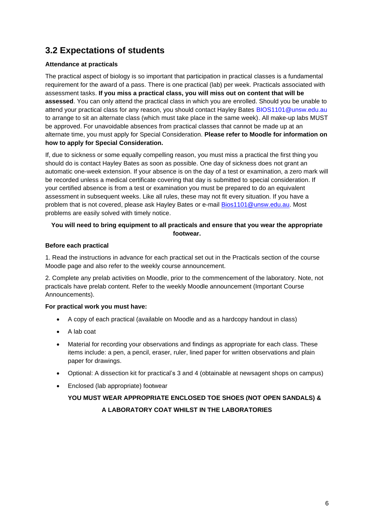### **3.2 Expectations of students**

#### **Attendance at practicals**

The practical aspect of biology is so important that participation in practical classes is a fundamental requirement for the award of a pass. There is one practical (lab) per week. Practicals associated with assessment tasks. **If you miss a practical class, you will miss out on content that will be assessed**. You can only attend the practical class in which you are enrolled. Should you be unable to attend your practical class for any reason, you should contact Hayley Bates BIOS1101@unsw.edu.au to arrange to sit an alternate class (which must take place in the same week). All make-up labs MUST be approved. For unavoidable absences from practical classes that cannot be made up at an alternate time, you must apply for Special Consideration. **Please refer to Moodle for information on how to apply for Special Consideration.**

If, due to sickness or some equally compelling reason, you must miss a practical the first thing you should do is contact Hayley Bates as soon as possible. One day of sickness does not grant an automatic one-week extension. If your absence is on the day of a test or examination, a zero mark will be recorded unless a medical certificate covering that day is submitted to special consideration. If your certified absence is from a test or examination you must be prepared to do an equivalent assessment in subsequent weeks. Like all rules, these may not fit every situation. If you have a problem that is not covered, please ask Hayley Bates or e-mail [Bios1101@unsw.edu.au.](mailto:Bios1101@unsw.edu.au) Most problems are easily solved with timely notice.

#### **You will need to bring equipment to all practicals and ensure that you wear the appropriate footwear.**

#### **Before each practical**

1. Read the instructions in advance for each practical set out in the Practicals section of the course Moodle page and also refer to the weekly course announcement.

2. Complete any prelab activities on Moodle, prior to the commencement of the laboratory. Note, not practicals have prelab content. Refer to the weekly Moodle announcement (Important Course Announcements).

#### **For practical work you must have:**

- A copy of each practical (available on Moodle and as a hardcopy handout in class)
- A lab coat
- Material for recording your observations and findings as appropriate for each class. These items include: a pen, a pencil, eraser, ruler, lined paper for written observations and plain paper for drawings.
- Optional: A dissection kit for practical's 3 and 4 (obtainable at newsagent shops on campus)
- Enclosed (lab appropriate) footwear

### **YOU MUST WEAR APPROPRIATE ENCLOSED TOE SHOES (NOT OPEN SANDALS) & A LABORATORY COAT WHILST IN THE LABORATORIES**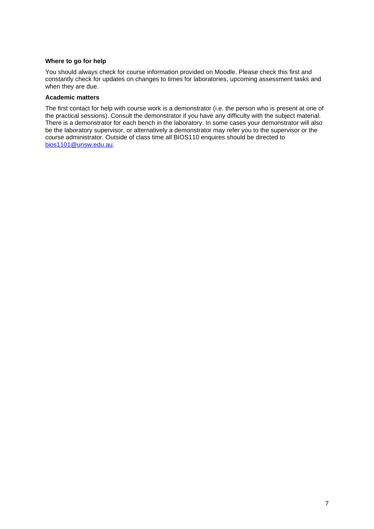#### **Where to go for help**

You should always check for course information provided on Moodle. Please check this first and constantly check for updates on changes to times for laboratories, upcoming assessment tasks and when they are due.

#### **Academic matters**

The first contact for help with course work is a demonstrator (i.e. the person who is present at one of the practical sessions). Consult the demonstrator if you have any difficulty with the subject material. There is a demonstrator for each bench in the laboratory. In some cases your demonstrator will also be the laboratory supervisor, or alternatively a demonstrator may refer you to the supervisor or the course administrator. Outside of class time all BIOS110 enquires should be directed to [bios1101@unsw.edu.au.](mailto:bios1101@unsw.edu.au)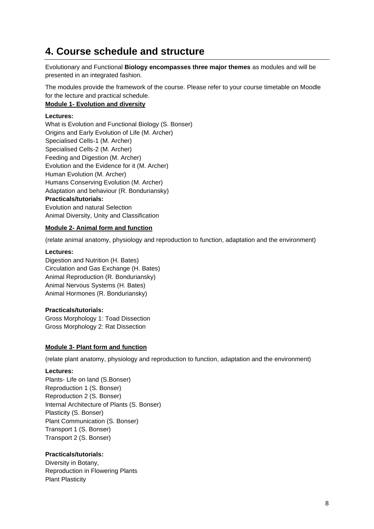### **4. Course schedule and structure**

Evolutionary and Functional **Biology encompasses three major themes** as modules and will be presented in an integrated fashion.

The modules provide the framework of the course. Please refer to your course timetable on Moodle for the lecture and practical schedule.

#### **Module 1- Evolution and diversity**

#### **Lectures:**

What is Evolution and Functional Biology (S. Bonser) Origins and Early Evolution of Life (M. Archer) Specialised Cells-1 (M. Archer) Specialised Cells-2 (M. Archer) Feeding and Digestion (M. Archer) Evolution and the Evidence for it (M. Archer) Human Evolution (M. Archer) Humans Conserving Evolution (M. Archer) Adaptation and behaviour (R. Bonduriansky) **Practicals/tutorials:** Evolution and natural Selection Animal Diversity, Unity and Classification

#### **Module 2- Animal form and function**

(relate animal anatomy, physiology and reproduction to function, adaptation and the environment)

#### **Lectures:**

Digestion and Nutrition (H. Bates) Circulation and Gas Exchange (H. Bates) Animal Reproduction (R. Bonduriansky) Animal Nervous Systems (H. Bates) Animal Hormones (R. Bonduriansky)

#### **Practicals/tutorials:**

Gross Morphology 1: Toad Dissection Gross Morphology 2: Rat Dissection

#### **Module 3- Plant form and function**

(relate plant anatomy, physiology and reproduction to function, adaptation and the environment)

#### **Lectures:**

Plants- Life on land (S.Bonser) Reproduction 1 (S. Bonser) Reproduction 2 (S. Bonser) Internal Architecture of Plants (S. Bonser) Plasticity (S. Bonser) Plant Communication (S. Bonser) Transport 1 (S. Bonser) Transport 2 (S. Bonser)

#### **Practicals/tutorials:**

Diversity in Botany, Reproduction in Flowering Plants Plant Plasticity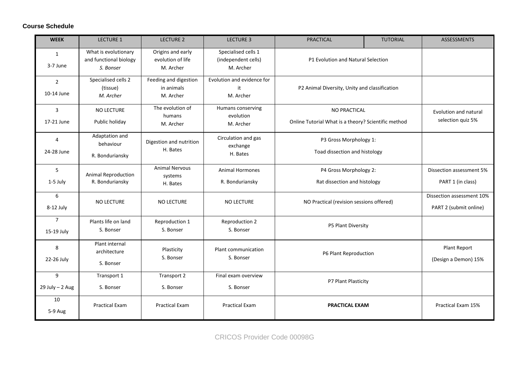#### **Course Schedule**

| <b>WEEK</b>                  | <b>LECTURE 1</b>                                            | <b>LECTURE 2</b>                                    | <b>LECTURE 3</b>                                        | <b>PRACTICAL</b>                                        | <b>TUTORIAL</b>                                                     | <b>ASSESSMENTS</b>                                  |
|------------------------------|-------------------------------------------------------------|-----------------------------------------------------|---------------------------------------------------------|---------------------------------------------------------|---------------------------------------------------------------------|-----------------------------------------------------|
| 1<br>3-7 June                | What is evolutionary<br>and functional biology<br>S. Bonser | Origins and early<br>evolution of life<br>M. Archer | Specialised cells 1<br>(independent cells)<br>M. Archer | P1 Evolution and Natural Selection                      |                                                                     |                                                     |
| $\overline{2}$<br>10-14 June | Specialised cells 2<br>(tissue)<br>M. Archer                | Feeding and digestion<br>in animals<br>M. Archer    | Evolution and evidence for<br>it<br>M. Archer           |                                                         | P2 Animal Diversity, Unity and classification                       |                                                     |
| $\overline{3}$<br>17-21 June | <b>NO LECTURE</b><br>Public holiday                         | The evolution of<br>humans<br>M. Archer             | Humans conserving<br>evolution<br>M. Archer             |                                                         | NO PRACTICAL<br>Online Tutorial What is a theory? Scientific method |                                                     |
| $\overline{4}$<br>24-28 June | Adaptation and<br>behaviour<br>R. Bonduriansky              | Digestion and nutrition<br>H. Bates                 | Circulation and gas<br>exchange<br>H. Bates             | P3 Gross Morphology 1:<br>Toad dissection and histology |                                                                     |                                                     |
| 5<br>1-5 July                | <b>Animal Reproduction</b><br>R. Bonduriansky               | <b>Animal Nervous</b><br>systems<br>H. Bates        | <b>Animal Hormones</b><br>R. Bonduriansky               | P4 Gross Morphology 2:<br>Rat dissection and histology  |                                                                     | Dissection assessment 5%<br>PART 1 (in class)       |
| 6<br>8-12 July               | <b>NO LECTURE</b>                                           | NO LECTURE                                          | <b>NO LECTURE</b>                                       | NO Practical (revision sessions offered)                |                                                                     | Dissection assessment 10%<br>PART 2 (submit online) |
| $\overline{7}$<br>15-19 July | Plants life on land<br>S. Bonser                            | Reproduction 1<br>S. Bonser                         | Reproduction 2<br>S. Bonser                             | P5 Plant Diversity                                      |                                                                     |                                                     |
| 8<br>22-26 July              | Plant internal<br>architecture<br>S. Bonser                 | Plasticity<br>S. Bonser                             | Plant communication<br>S. Bonser                        | P6 Plant Reproduction                                   |                                                                     | Plant Report<br>(Design a Demon) 15%                |
| 9<br>$29$ July $- 2$ Aug     | Transport 1<br>S. Bonser                                    | Transport 2<br>S. Bonser                            | Final exam overview<br>S. Bonser                        | P7 Plant Plasticity                                     |                                                                     |                                                     |
| 10<br>5-9 Aug                | <b>Practical Exam</b>                                       | <b>Practical Exam</b>                               | <b>Practical Exam</b>                                   | <b>PRACTICAL EXAM</b>                                   |                                                                     | Practical Exam 15%                                  |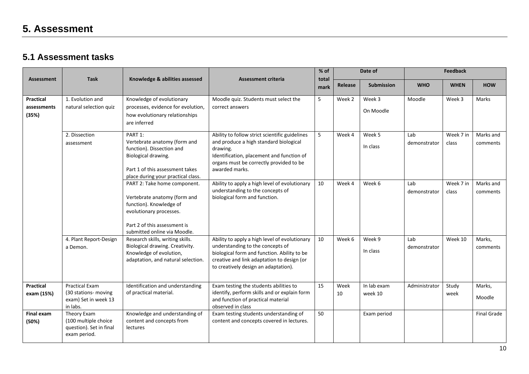### **5. Assessment**

### **5.1 Assessment tasks**

|                                   |                                                                                   |                                                                                                                                                                                    |                                                                                                                                                                                                                        | % of<br>Date of |            |                        |                     | <b>Feedback</b>    |                       |  |
|-----------------------------------|-----------------------------------------------------------------------------------|------------------------------------------------------------------------------------------------------------------------------------------------------------------------------------|------------------------------------------------------------------------------------------------------------------------------------------------------------------------------------------------------------------------|-----------------|------------|------------------------|---------------------|--------------------|-----------------------|--|
| <b>Assessment</b>                 | <b>Task</b>                                                                       | Knowledge & abilities assessed                                                                                                                                                     | <b>Assessment criteria</b>                                                                                                                                                                                             | total<br>mark   | Release    | <b>Submission</b>      | <b>WHO</b>          | <b>WHEN</b>        | <b>HOW</b>            |  |
| Practical<br>assessments<br>(35%) | 1. Evolution and<br>natural selection quiz                                        | Knowledge of evolutionary<br>processes, evidence for evolution,<br>how evolutionary relationships<br>are inferred                                                                  | Moodle quiz. Students must select the<br>correct answers                                                                                                                                                               | 5               | Week 2     | Week 3<br>On Moodle    | Moodle              | Week 3             | Marks                 |  |
|                                   | 2. Dissection<br>assessment                                                       | PART 1:<br>Vertebrate anatomy (form and<br>function). Dissection and<br>Biological drawing.<br>Part 1 of this assessment takes<br>place during your practical class.               | Ability to follow strict scientific guidelines<br>and produce a high standard biological<br>drawing.<br>Identification, placement and function of<br>organs must be correctly provided to be<br>awarded marks.         | 5               | Week 4     | Week 5<br>In class     | Lab<br>demonstrator | Week 7 in<br>class | Marks and<br>comments |  |
|                                   |                                                                                   | PART 2: Take home component.<br>Vertebrate anatomy (form and<br>function). Knowledge of<br>evolutionary processes.<br>Part 2 of this assessment is<br>submitted online via Moodle. | Ability to apply a high level of evolutionary<br>understanding to the concepts of<br>biological form and function.                                                                                                     | 10              | Week 4     | Week 6                 | Lab<br>demonstrator | Week 7 in<br>class | Marks and<br>comments |  |
|                                   | 4. Plant Report-Design<br>a Demon.                                                | Research skills, writing skills.<br>Biological drawing. Creativity.<br>Knowledge of evolution,<br>adaptation, and natural selection.                                               | Ability to apply a high level of evolutionary<br>understanding to the concepts of<br>biological form and function. Ability to be<br>creative and link adaptation to design (or<br>to creatively design an adaptation). | 10              | Week 6     | Week 9<br>In class     | Lab<br>demonstrator | Week 10            | Marks.<br>comments    |  |
| <b>Practical</b><br>exam (15%)    | <b>Practical Exam</b><br>(30 stations- moving<br>exam) Set in week 13<br>in labs. | Identification and understanding<br>of practical material.                                                                                                                         | Exam testing the students abilities to<br>identify, perform skills and or explain form<br>and function of practical material<br>observed in class                                                                      | 15              | Week<br>10 | In lab exam<br>week 10 | Administrator       | Study<br>week      | Marks,<br>Moodle      |  |
| Final exam<br>(50%)               | Theory Exam<br>(100 multiple choice<br>question). Set in final<br>exam period.    | Knowledge and understanding of<br>content and concepts from<br>lectures                                                                                                            | Exam testing students understanding of<br>content and concepts covered in lectures.                                                                                                                                    | 50              |            | Exam period            |                     |                    | <b>Final Grade</b>    |  |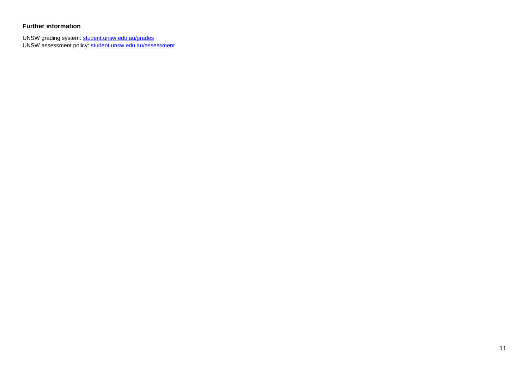#### **Further information**

UNSW grading system: [student.unsw.edu.au/grades](https://student.unsw.edu.au/grades) UNSW assessment policy[: student.unsw.edu.au/assessment](https://student.unsw.edu.au/assessment)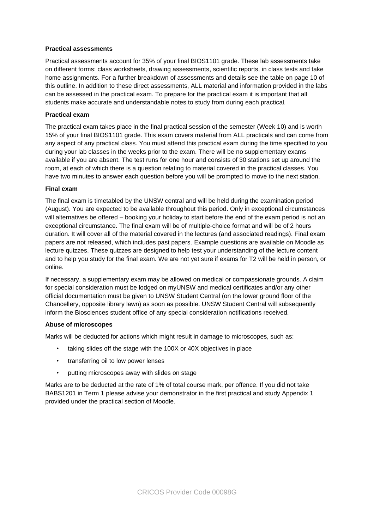#### **Practical assessments**

Practical assessments account for 35% of your final BIOS1101 grade. These lab assessments take on different forms: class worksheets, drawing assessments, scientific reports, in class tests and take home assignments. For a further breakdown of assessments and details see the table on page 10 of this outline. In addition to these direct assessments, ALL material and information provided in the labs can be assessed in the practical exam. To prepare for the practical exam it is important that all students make accurate and understandable notes to study from during each practical.

#### **Practical exam**

The practical exam takes place in the final practical session of the semester (Week 10) and is worth 15% of your final BIOS1101 grade. This exam covers material from ALL practicals and can come from any aspect of any practical class. You must attend this practical exam during the time specified to you during your lab classes in the weeks prior to the exam. There will be no supplementary exams available if you are absent. The test runs for one hour and consists of 30 stations set up around the room, at each of which there is a question relating to material covered in the practical classes. You have two minutes to answer each question before you will be prompted to move to the next station.

#### **Final exam**

The final exam is timetabled by the UNSW central and will be held during the examination period (August). You are expected to be available throughout this period. Only in exceptional circumstances will alternatives be offered – booking your holiday to start before the end of the exam period is not an exceptional circumstance. The final exam will be of multiple-choice format and will be of 2 hours duration. It will cover all of the material covered in the lectures (and associated readings). Final exam papers are not released, which includes past papers. Example questions are available on Moodle as lecture quizzes. These quizzes are designed to help test your understanding of the lecture content and to help you study for the final exam. We are not yet sure if exams for T2 will be held in person, or online.

If necessary, a supplementary exam may be allowed on medical or compassionate grounds. A claim for special consideration must be lodged on myUNSW and medical certificates and/or any other official documentation must be given to UNSW Student Central (on the lower ground floor of the Chancellery, opposite library lawn) as soon as possible. UNSW Student Central will subsequently inform the Biosciences student office of any special consideration notifications received.

#### **Abuse of microscopes**

Marks will be deducted for actions which might result in damage to microscopes, such as:

- taking slides off the stage with the 100X or 40X objectives in place
- transferring oil to low power lenses
- putting microscopes away with slides on stage

Marks are to be deducted at the rate of 1% of total course mark, per offence. If you did not take BABS1201 in Term 1 please advise your demonstrator in the first practical and study Appendix 1 provided under the practical section of Moodle.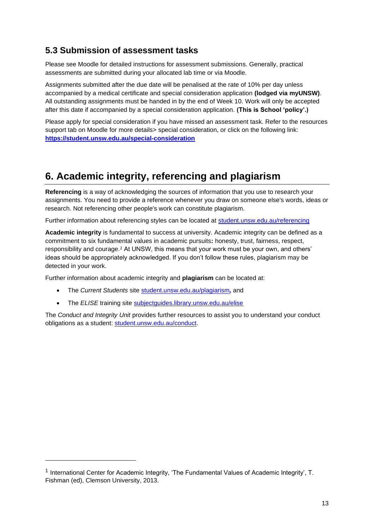### **5.3 Submission of assessment tasks**

Please see Moodle for detailed instructions for assessment submissions. Generally, practical assessments are submitted during your allocated lab time or via Moodle.

Assignments submitted after the due date will be penalised at the rate of 10% per day unless accompanied by a medical certificate and special consideration application **(lodged via myUNSW)**. All outstanding assignments must be handed in by the end of Week 10. Work will only be accepted after this date if accompanied by a special consideration application. **(This is School 'policy'.)** 

Please apply for special consideration if you have missed an assessment task. Refer to the resources support tab on Moodle for more details> special consideration, or click on the following link: **<https://student.unsw.edu.au/special-consideration>**

### **6. Academic integrity, referencing and plagiarism**

**Referencing** is a way of acknowledging the sources of information that you use to research your assignments. You need to provide a reference whenever you draw on someone else's words, ideas or research. Not referencing other people's work can constitute plagiarism.

Further information about referencing styles can be located at [student.unsw.edu.au/referencing](https://student.unsw.edu.au/referencing)

**Academic integrity** is fundamental to success at university. Academic integrity can be defined as a commitment to six fundamental values in academic pursuits**:** honesty, trust, fairness, respect, responsibility and courage.*<sup>1</sup>* At UNSW, this means that your work must be your own, and others' ideas should be appropriately acknowledged. If you don't follow these rules, plagiarism may be detected in your work.

Further information about academic integrity and **plagiarism** can be located at:

- The *Current Students* site [student.unsw.edu.au/plagiarism](https://student.unsw.edu.au/plagiarism)*,* and
- The *ELISE* training site [subjectguides.library.unsw.edu.au/elise](http://subjectguides.library.unsw.edu.au/elise)

The *Conduct and Integrity Unit* provides further resources to assist you to understand your conduct obligations as a student: [student.unsw.edu.au/conduct.](https://student.unsw.edu.au/conduct)

<sup>&</sup>lt;sup>1</sup> International Center for Academic Integrity, 'The Fundamental Values of Academic Integrity', T. Fishman (ed), Clemson University, 2013.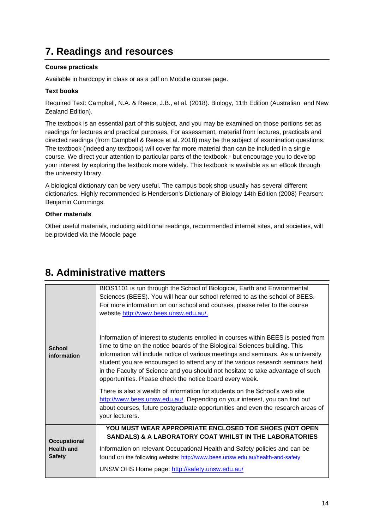### **7. Readings and resources**

#### **Course practicals**

Available in hardcopy in class or as a pdf on Moodle course page.

#### **Text books**

Required Text: Campbell, N.A. & Reece, J.B., et al. (2018). Biology, 11th Edition (Australian and New Zealand Edition).

The textbook is an essential part of this subject, and you may be examined on those portions set as readings for lectures and practical purposes. For assessment, material from lectures, practicals and directed readings (from Campbell & Reece et al. 2018) may be the subject of examination questions. The textbook (indeed any textbook) will cover far more material than can be included in a single course. We direct your attention to particular parts of the textbook - but encourage you to develop your interest by exploring the textbook more widely. This textbook is available as an eBook through the university library.

A biological dictionary can be very useful. The campus book shop usually has several different dictionaries. Highly recommended is Henderson's Dictionary of Biology 14th Edition (2008) Pearson: Benjamin Cummings.

#### **Other materials**

Other useful materials, including additional readings, recommended internet sites, and societies, will be provided via the Moodle page

|                                   | BIOS1101 is run through the School of Biological, Earth and Environmental<br>Sciences (BEES). You will hear our school referred to as the school of BEES.<br>For more information on our school and courses, please refer to the course<br>website http://www.bees.unsw.edu.au/.                                                                                                                                                                                                        |  |  |
|-----------------------------------|-----------------------------------------------------------------------------------------------------------------------------------------------------------------------------------------------------------------------------------------------------------------------------------------------------------------------------------------------------------------------------------------------------------------------------------------------------------------------------------------|--|--|
| <b>School</b><br>information      | Information of interest to students enrolled in courses within BEES is posted from<br>time to time on the notice boards of the Biological Sciences building. This<br>information will include notice of various meetings and seminars. As a university<br>student you are encouraged to attend any of the various research seminars held<br>in the Faculty of Science and you should not hesitate to take advantage of such<br>opportunities. Please check the notice board every week. |  |  |
|                                   | There is also a wealth of information for students on the School's web site<br>http://www.bees.unsw.edu.au/. Depending on your interest, you can find out<br>about courses, future postgraduate opportunities and even the research areas of<br>your lecturers.                                                                                                                                                                                                                         |  |  |
| Occupational<br><b>Health and</b> | YOU MUST WEAR APPROPRIATE ENCLOSED TOE SHOES (NOT OPEN<br><b>SANDALS) &amp; A LABORATORY COAT WHILST IN THE LABORATORIES</b><br>Information on relevant Occupational Health and Safety policies and can be                                                                                                                                                                                                                                                                              |  |  |
| <b>Safety</b>                     | found on the following website: http://www.bees.unsw.edu.au/health-and-safety<br>UNSW OHS Home page: http://safety.unsw.edu.au/                                                                                                                                                                                                                                                                                                                                                         |  |  |

### **8. Administrative matters**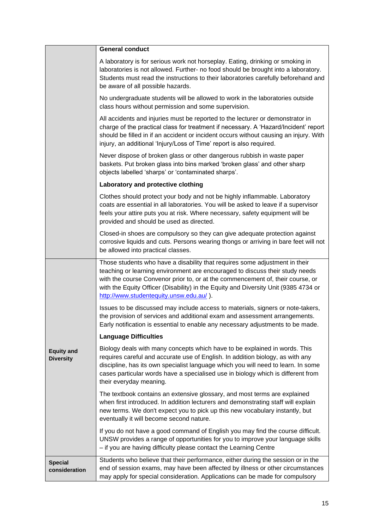|                                       | <b>General conduct</b>                                                                                                                                                                                                                                                                                                                                                          |
|---------------------------------------|---------------------------------------------------------------------------------------------------------------------------------------------------------------------------------------------------------------------------------------------------------------------------------------------------------------------------------------------------------------------------------|
|                                       | A laboratory is for serious work not horseplay. Eating, drinking or smoking in<br>laboratories is not allowed. Further- no food should be brought into a laboratory.<br>Students must read the instructions to their laboratories carefully beforehand and<br>be aware of all possible hazards.                                                                                 |
|                                       | No undergraduate students will be allowed to work in the laboratories outside<br>class hours without permission and some supervision.                                                                                                                                                                                                                                           |
|                                       | All accidents and injuries must be reported to the lecturer or demonstrator in<br>charge of the practical class for treatment if necessary. A 'Hazard/Incident' report<br>should be filled in if an accident or incident occurs without causing an injury. With<br>injury, an additional 'Injury/Loss of Time' report is also required.                                         |
|                                       | Never dispose of broken glass or other dangerous rubbish in waste paper<br>baskets. Put broken glass into bins marked 'broken glass' and other sharp<br>objects labelled 'sharps' or 'contaminated sharps'.                                                                                                                                                                     |
|                                       | Laboratory and protective clothing                                                                                                                                                                                                                                                                                                                                              |
|                                       | Clothes should protect your body and not be highly inflammable. Laboratory<br>coats are essential in all laboratories. You will be asked to leave if a supervisor<br>feels your attire puts you at risk. Where necessary, safety equipment will be<br>provided and should be used as directed.                                                                                  |
|                                       | Closed-in shoes are compulsory so they can give adequate protection against<br>corrosive liquids and cuts. Persons wearing thongs or arriving in bare feet will not<br>be allowed into practical classes.                                                                                                                                                                       |
|                                       | Those students who have a disability that requires some adjustment in their<br>teaching or learning environment are encouraged to discuss their study needs<br>with the course Convenor prior to, or at the commencement of, their course, or<br>with the Equity Officer (Disability) in the Equity and Diversity Unit (9385 4734 or<br>http://www.studentequity.unsw.edu.au/). |
|                                       | Issues to be discussed may include access to materials, signers or note-takers,<br>the provision of services and additional exam and assessment arrangements.<br>Early notification is essential to enable any necessary adjustments to be made.                                                                                                                                |
|                                       | <b>Language Difficulties</b>                                                                                                                                                                                                                                                                                                                                                    |
| <b>Equity and</b><br><b>Diversity</b> | Biology deals with many concepts which have to be explained in words. This<br>requires careful and accurate use of English. In addition biology, as with any<br>discipline, has its own specialist language which you will need to learn. In some<br>cases particular words have a specialised use in biology which is different from<br>their everyday meaning.                |
|                                       | The textbook contains an extensive glossary, and most terms are explained<br>when first introduced. In addition lecturers and demonstrating staff will explain<br>new terms. We don't expect you to pick up this new vocabulary instantly, but<br>eventually it will become second nature.                                                                                      |
|                                       | If you do not have a good command of English you may find the course difficult.<br>UNSW provides a range of opportunities for you to improve your language skills<br>- if you are having difficulty please contact the Learning Centre                                                                                                                                          |
| <b>Special</b><br>consideration       | Students who believe that their performance, either during the session or in the<br>end of session exams, may have been affected by illness or other circumstances<br>may apply for special consideration. Applications can be made for compulsory                                                                                                                              |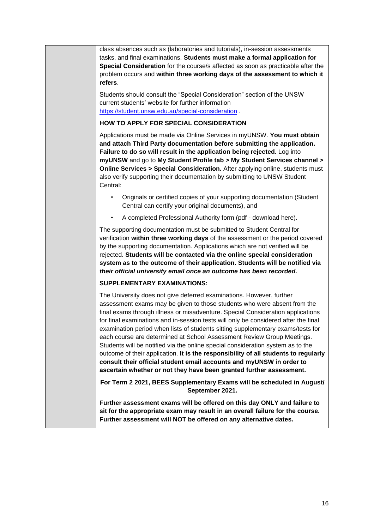class absences such as (laboratories and tutorials), in-session assessments tasks, and final examinations. **Students must make a formal application for Special Consideration** for the course/s affected as soon as practicable after the problem occurs and **within three working days of the assessment to which it refers**.

Students should consult the "Special Consideration" section of the UNSW current students' website for further information <https://student.unsw.edu.au/special-consideration> .

#### **HOW TO APPLY FOR SPECIAL CONSIDERATION**

Applications must be made via Online Services in myUNSW. **You must obtain and attach Third Party documentation before submitting the application. Failure to do so will result in the application being rejected.** Log into **myUNSW** and go to **My Student Profile tab > My Student Services channel > Online Services > Special Consideration.** After applying online, students must also verify supporting their documentation by submitting to UNSW Student Central:

- Originals or certified copies of your supporting documentation (Student Central can certify your original documents), and
- A completed Professional Authority form (pdf download here).

The supporting documentation must be submitted to Student Central for verification **within three working days** of the assessment or the period covered by the supporting documentation. Applications which are not verified will be rejected. **Students will be contacted via the online special consideration system as to the outcome of their application. Students will be notified via**  *their official university email once an outcome has been recorded.*

#### **SUPPLEMENTARY EXAMINATIONS:**

The University does not give deferred examinations. However, further assessment exams may be given to those students who were absent from the final exams through illness or misadventure. Special Consideration applications for final examinations and in-session tests will only be considered after the final examination period when lists of students sitting supplementary exams/tests for each course are determined at School Assessment Review Group Meetings. Students will be notified via the online special consideration system as to the outcome of their application. **It is the responsibility of all students to regularly consult their official student email accounts and myUNSW in order to ascertain whether or not they have been granted further assessment.**

**For Term 2 2021, BEES Supplementary Exams will be scheduled in August/ September 2021.**

**Further assessment exams will be offered on this day ONLY and failure to sit for the appropriate exam may result in an overall failure for the course. Further assessment will NOT be offered on any alternative dates.**